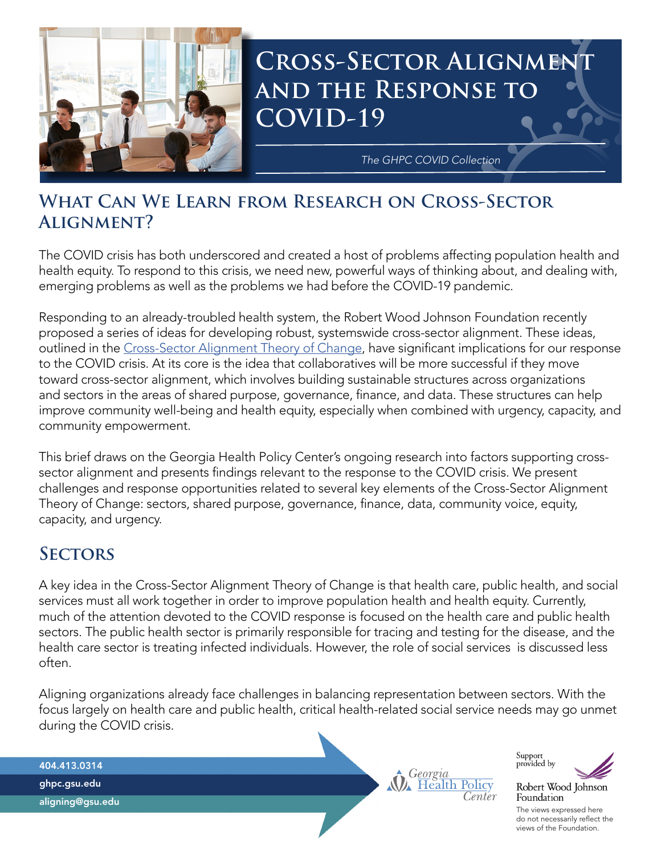

# **CROSS-SECTOR ALIGNMEN and the Response to COVID-19**

*The GHPC COVID Collection*

# **What Can We Learn from Research on Cross-Sector Alignment?**

The COVID crisis has both underscored and created a host of problems affecting population health and health equity. To respond to this crisis, we need new, powerful ways of thinking about, and dealing with, emerging problems as well as the problems we had before the COVID-19 pandemic.

Responding to an already-troubled health system, the Robert Wood Johnson Foundation recently proposed a series of ideas for developing robust, systemswide cross-sector alignment. These ideas, outlined in the [Cross-Sector Alignment Theory of Change](https://www.alignforhealth.org/rwjfs-approach/), have significant implications for our response to the COVID crisis. At its core is the idea that collaboratives will be more successful if they move toward cross-sector alignment, which involves building sustainable structures across organizations and sectors in the areas of shared purpose, governance, finance, and data. These structures can help improve community well-being and health equity, especially when combined with urgency, capacity, and community empowerment.

This brief draws on the Georgia Health Policy Center's ongoing research into factors supporting crosssector alignment and presents findings relevant to the response to the COVID crisis. We present challenges and response opportunities related to several key elements of the Cross-Sector Alignment Theory of Change: sectors, shared purpose, governance, finance, data, community voice, equity, capacity, and urgency.

# **Sectors**

A key idea in the Cross-Sector Alignment Theory of Change is that health care, public health, and social services must all work together in order to improve population health and health equity. Currently, much of the attention devoted to the COVID response is focused on the health care and public health sectors. The public health sector is primarily responsible for tracing and testing for the disease, and the health care sector is treating infected individuals. However, the role of social services is discussed less often.

Aligning organizations already face challenges in balancing representation between sectors. With the focus largely on health care and public health, critical health-related social service needs may go unmet during the COVID crisis.

404.413.0314 ghpc.gsu.edu







Robert Wood Johnson

do not necessarily reflect the views of the Foundation.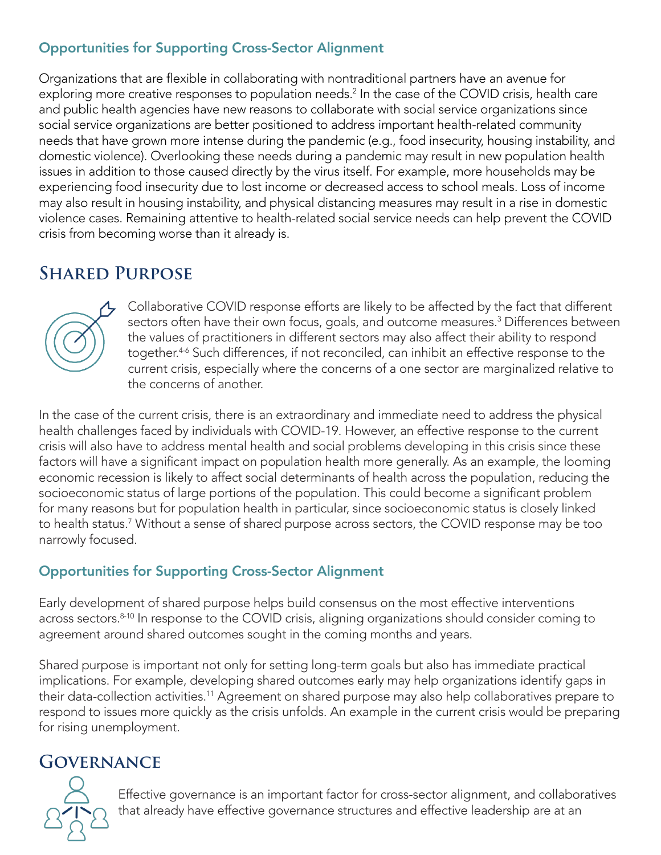### Opportunities for Supporting Cross-Sector Alignment

Organizations that are flexible in collaborating with nontraditional partners have an avenue for exploring more creative responses to population needs.<sup>2</sup> In the case of the COVID crisis, health care and public health agencies have new reasons to collaborate with social service organizations since social service organizations are better positioned to address important health-related community needs that have grown more intense during the pandemic (e.g., food insecurity, housing instability, and domestic violence). Overlooking these needs during a pandemic may result in new population health issues in addition to those caused directly by the virus itself. For example, more households may be experiencing food insecurity due to lost income or decreased access to school meals. Loss of income may also result in housing instability, and physical distancing measures may result in a rise in domestic violence cases. Remaining attentive to health-related social service needs can help prevent the COVID crisis from becoming worse than it already is.

# **Shared Purpose**



Collaborative COVID response efforts are likely to be affected by the fact that different sectors often have their own focus, goals, and outcome measures.3 Differences between the values of practitioners in different sectors may also affect their ability to respond together.<sup>4-6</sup> Such differences, if not reconciled, can inhibit an effective response to the current crisis, especially where the concerns of a one sector are marginalized relative to the concerns of another.

In the case of the current crisis, there is an extraordinary and immediate need to address the physical health challenges faced by individuals with COVID-19. However, an effective response to the current crisis will also have to address mental health and social problems developing in this crisis since these factors will have a significant impact on population health more generally. As an example, the looming economic recession is likely to affect social determinants of health across the population, reducing the socioeconomic status of large portions of the population. This could become a significant problem for many reasons but for population health in particular, since socioeconomic status is closely linked to health status.7 Without a sense of shared purpose across sectors, the COVID response may be too narrowly focused.

#### Opportunities for Supporting Cross-Sector Alignment

Early development of shared purpose helps build consensus on the most effective interventions across sectors.<sup>8-10</sup> In response to the COVID crisis, aligning organizations should consider coming to agreement around shared outcomes sought in the coming months and years.

Shared purpose is important not only for setting long-term goals but also has immediate practical implications. For example, developing shared outcomes early may help organizations identify gaps in their data-collection activities.<sup>11</sup> Agreement on shared purpose may also help collaboratives prepare to respond to issues more quickly as the crisis unfolds. An example in the current crisis would be preparing for rising unemployment.

# **Governance**



Effective governance is an important factor for cross-sector alignment, and collaboratives that already have effective governance structures and effective leadership are at an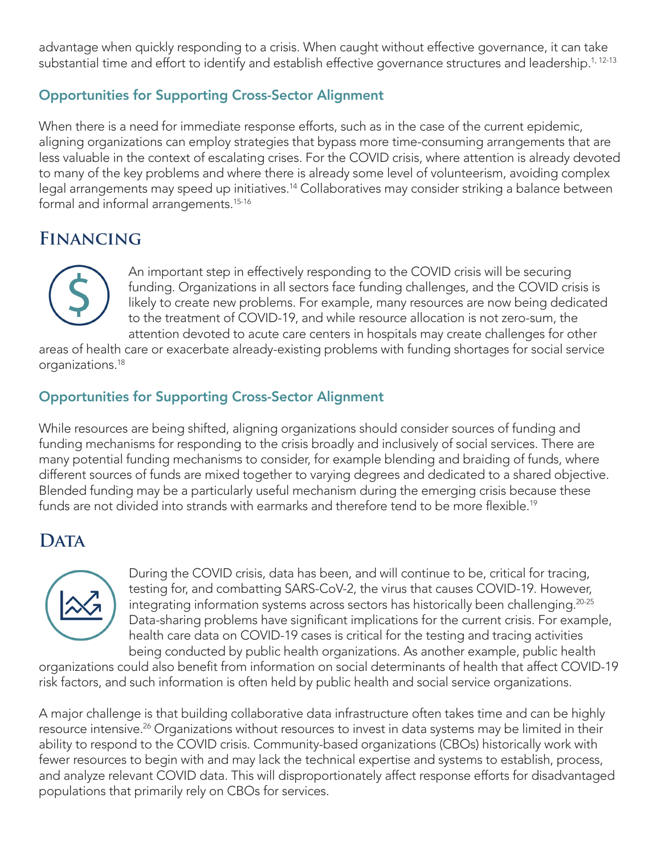advantage when quickly responding to a crisis. When caught without effective governance, it can take substantial time and effort to identify and establish effective governance structures and leadership.<sup>1, 12-13</sup>

#### Opportunities for Supporting Cross-Sector Alignment

When there is a need for immediate response efforts, such as in the case of the current epidemic, aligning organizations can employ strategies that bypass more time-consuming arrangements that are less valuable in the context of escalating crises. For the COVID crisis, where attention is already devoted to many of the key problems and where there is already some level of volunteerism, avoiding complex legal arrangements may speed up initiatives.<sup>14</sup> Collaboratives may consider striking a balance between formal and informal arrangements.15-16

# **Financing**



An important step in effectively responding to the COVID crisis will be securing funding. Organizations in all sectors face funding challenges, and the COVID crisis is likely to create new problems. For example, many resources are now being dedicated to the treatment of COVID-19, and while resource allocation is not zero-sum, the attention devoted to acute care centers in hospitals may create challenges for other

areas of health care or exacerbate already-existing problems with funding shortages for social service organizations.18

#### Opportunities for Supporting Cross-Sector Alignment

While resources are being shifted, aligning organizations should consider sources of funding and funding mechanisms for responding to the crisis broadly and inclusively of social services. There are many potential funding mechanisms to consider, for example blending and braiding of funds, where different sources of funds are mixed together to varying degrees and dedicated to a shared objective. Blended funding may be a particularly useful mechanism during the emerging crisis because these funds are not divided into strands with earmarks and therefore tend to be more flexible.<sup>19</sup>

# DATA



During the COVID crisis, data has been, and will continue to be, critical for tracing, testing for, and combatting SARS-CoV-2, the virus that causes COVID-19. However, integrating information systems across sectors has historically been challenging.<sup>20-25</sup> Data-sharing problems have significant implications for the current crisis. For example, health care data on COVID-19 cases is critical for the testing and tracing activities being conducted by public health organizations. As another example, public health

organizations could also benefit from information on social determinants of health that affect COVID-19 risk factors, and such information is often held by public health and social service organizations.

A major challenge is that building collaborative data infrastructure often takes time and can be highly resource intensive.<sup>26</sup> Organizations without resources to invest in data systems may be limited in their ability to respond to the COVID crisis. Community-based organizations (CBOs) historically work with fewer resources to begin with and may lack the technical expertise and systems to establish, process, and analyze relevant COVID data. This will disproportionately affect response efforts for disadvantaged populations that primarily rely on CBOs for services.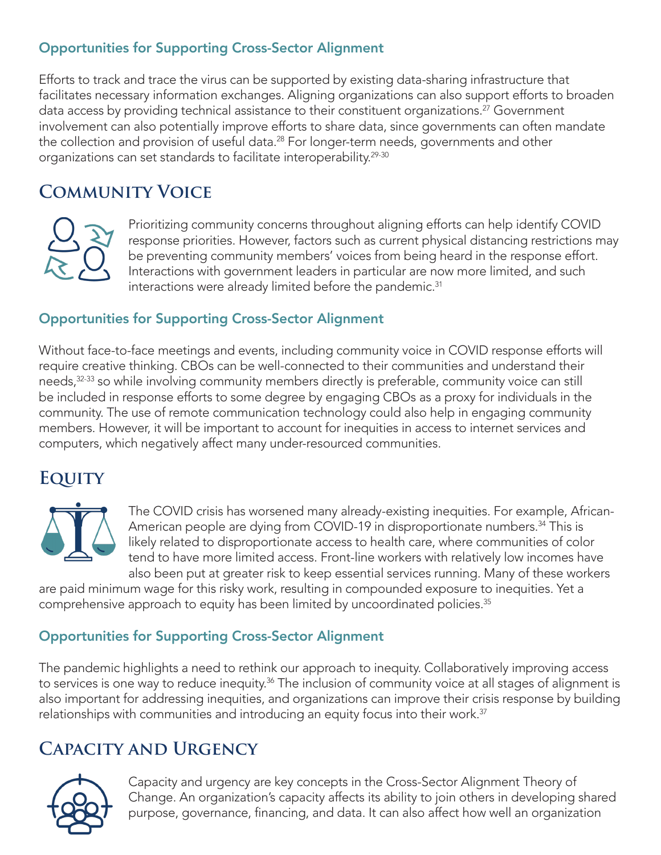### Opportunities for Supporting Cross-Sector Alignment

Efforts to track and trace the virus can be supported by existing data-sharing infrastructure that facilitates necessary information exchanges. Aligning organizations can also support efforts to broaden data access by providing technical assistance to their constituent organizations.<sup>27</sup> Government involvement can also potentially improve efforts to share data, since governments can often mandate the collection and provision of useful data.<sup>28</sup> For longer-term needs, governments and other organizations can set standards to facilitate interoperability.<sup>29-30</sup>

# **Community Voice**



Prioritizing community concerns throughout aligning efforts can help identify COVID response priorities. However, factors such as current physical distancing restrictions may be preventing community members' voices from being heard in the response effort. Interactions with government leaders in particular are now more limited, and such interactions were already limited before the pandemic.<sup>31</sup>

### Opportunities for Supporting Cross-Sector Alignment

Without face-to-face meetings and events, including community voice in COVID response efforts will require creative thinking. CBOs can be well-connected to their communities and understand their needs,<sup>32-33</sup> so while involving community members directly is preferable, community voice can still be included in response efforts to some degree by engaging CBOs as a proxy for individuals in the community. The use of remote communication technology could also help in engaging community members. However, it will be important to account for inequities in access to internet services and computers, which negatively affect many under-resourced communities.

# **Equity**



The COVID crisis has worsened many already-existing inequities. For example, African-American people are dying from COVID-19 in disproportionate numbers.<sup>34</sup> This is likely related to disproportionate access to health care, where communities of color tend to have more limited access. Front-line workers with relatively low incomes have also been put at greater risk to keep essential services running. Many of these workers

are paid minimum wage for this risky work, resulting in compounded exposure to inequities. Yet a comprehensive approach to equity has been limited by uncoordinated policies.<sup>35</sup>

### Opportunities for Supporting Cross-Sector Alignment

The pandemic highlights a need to rethink our approach to inequity. Collaboratively improving access to services is one way to reduce inequity.<sup>36</sup> The inclusion of community voice at all stages of alignment is also important for addressing inequities, and organizations can improve their crisis response by building relationships with communities and introducing an equity focus into their work. $37$ 

# **Capacity and Urgency**



Capacity and urgency are key concepts in the Cross-Sector Alignment Theory of Change. An organization's capacity affects its ability to join others in developing shared purpose, governance, financing, and data. It can also affect how well an organization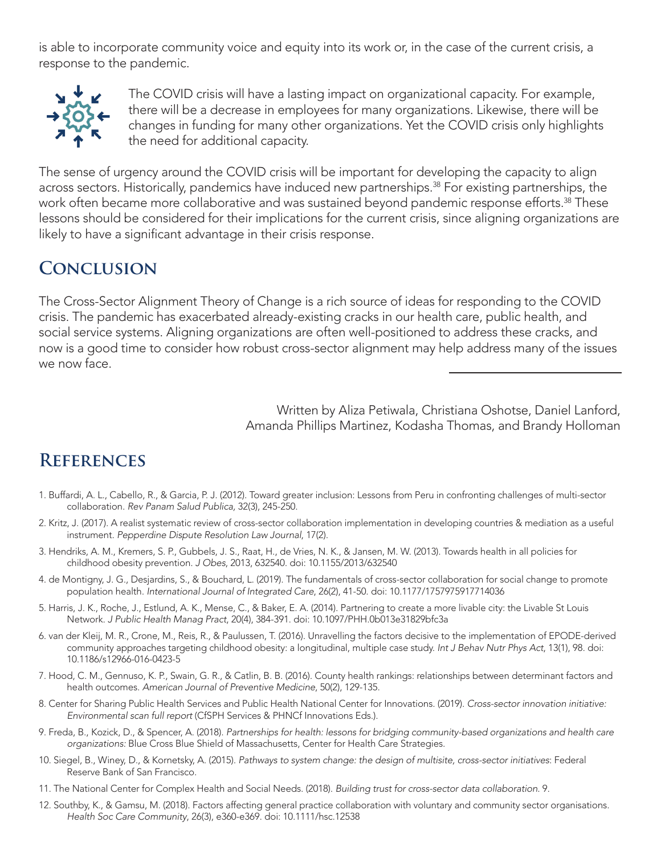is able to incorporate community voice and equity into its work or, in the case of the current crisis, a response to the pandemic.



The COVID crisis will have a lasting impact on organizational capacity. For example, there will be a decrease in employees for many organizations. Likewise, there will be changes in funding for many other organizations. Yet the COVID crisis only highlights the need for additional capacity.

The sense of urgency around the COVID crisis will be important for developing the capacity to align across sectors. Historically, pandemics have induced new partnerships.<sup>38</sup> For existing partnerships, the work often became more collaborative and was sustained beyond pandemic response efforts.<sup>38</sup> These lessons should be considered for their implications for the current crisis, since aligning organizations are likely to have a significant advantage in their crisis response.

# **Conclusion**

The Cross-Sector Alignment Theory of Change is a rich source of ideas for responding to the COVID crisis. The pandemic has exacerbated already-existing cracks in our health care, public health, and social service systems. Aligning organizations are often well-positioned to address these cracks, and now is a good time to consider how robust cross-sector alignment may help address many of the issues we now face.

> Written by Aliza Petiwala, Christiana Oshotse, Daniel Lanford, Amanda Phillips Martinez, Kodasha Thomas, and Brandy Holloman

# **References**

- 1. Buffardi, A. L., Cabello, R., & Garcia, P. J. (2012). Toward greater inclusion: Lessons from Peru in confronting challenges of multi-sector collaboration. *Rev Panam Salud Publica,* 32(3), 245-250.
- 2. Kritz, J. (2017). A realist systematic review of cross-sector collaboration implementation in developing countries & mediation as a useful instrument. *Pepperdine Dispute Resolution Law Journal*, 17(2).
- 3. Hendriks, A. M., Kremers, S. P., Gubbels, J. S., Raat, H., de Vries, N. K., & Jansen, M. W. (2013). Towards health in all policies for childhood obesity prevention. *J Obes*, 2013, 632540. doi: 10.1155/2013/632540
- 4. de Montigny, J. G., Desjardins, S., & Bouchard, L. (2019). The fundamentals of cross-sector collaboration for social change to promote population health. *International Journal of Integrated Care*, 26(2), 41-50. doi: 10.1177/1757975917714036
- 5. Harris, J. K., Roche, J., Estlund, A. K., Mense, C., & Baker, E. A. (2014). Partnering to create a more livable city: the Livable St Louis Network. *J Public Health Manag Pract*, 20(4), 384-391. doi: 10.1097/PHH.0b013e31829bfc3a
- 6. van der Kleij, M. R., Crone, M., Reis, R., & Paulussen, T. (2016). Unravelling the factors decisive to the implementation of EPODE-derived community approaches targeting childhood obesity: a longitudinal, multiple case study. *Int J Behav Nutr Phys Act*, 13(1), 98. doi: 10.1186/s12966-016-0423-5
- 7. Hood, C. M., Gennuso, K. P., Swain, G. R., & Catlin, B. B. (2016). County health rankings: relationships between determinant factors and health outcomes. *American Journal of Preventive Medicine*, 50(2), 129-135.
- 8. Center for Sharing Public Health Services and Public Health National Center for Innovations. (2019). *Cross-sector innovation initiative: Environmental scan full report* (CfSPH Services & PHNCf Innovations Eds.).
- 9. Freda, B., Kozick, D., & Spencer, A. (2018). *Partnerships for health: lessons for bridging community-based organizations and health care organizations:* Blue Cross Blue Shield of Massachusetts, Center for Health Care Strategies.
- 10. Siegel, B., Winey, D., & Kornetsky, A. (2015). *Pathways to system change: the design of multisite, cross-sector initiatives*: Federal Reserve Bank of San Francisco.
- 11. The National Center for Complex Health and Social Needs. (2018). *Building trust for cross-sector data collaboration*. 9.
- 12. Southby, K., & Gamsu, M. (2018). Factors affecting general practice collaboration with voluntary and community sector organisations. *Health Soc Care Community*, 26(3), e360-e369. doi: 10.1111/hsc.12538